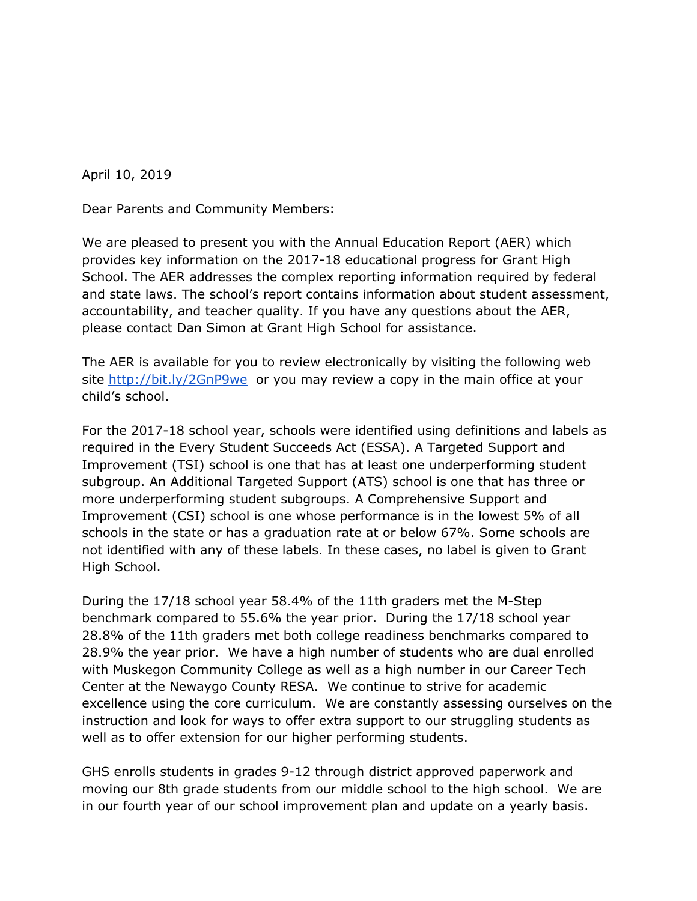April 10, 2019

Dear Parents and Community Members:

We are pleased to present you with the Annual Education Report (AER) which provides key information on the 2017-18 educational progress for Grant High School. The AER addresses the complex reporting information required by federal and state laws. The school's report contains information about student assessment, accountability, and teacher quality. If you have any questions about the AER, please contact Dan Simon at Grant High School for assistance.

The AER is available for you to review electronically by visiting the following web site <http://bit.ly/2GnP9we> or you may review a copy in the main office at your child's school.

For the 2017-18 school year, schools were identified using definitions and labels as required in the Every Student Succeeds Act (ESSA). A Targeted Support and Improvement (TSI) school is one that has at least one underperforming student subgroup. An Additional Targeted Support (ATS) school is one that has three or more underperforming student subgroups. A Comprehensive Support and Improvement (CSI) school is one whose performance is in the lowest 5% of all schools in the state or has a graduation rate at or below 67%. Some schools are not identified with any of these labels. In these cases, no label is given to Grant High School.

During the 17/18 school year 58.4% of the 11th graders met the M-Step benchmark compared to 55.6% the year prior. During the 17/18 school year 28.8% of the 11th graders met both college readiness benchmarks compared to 28.9% the year prior. We have a high number of students who are dual enrolled with Muskegon Community College as well as a high number in our Career Tech Center at the Newaygo County RESA. We continue to strive for academic excellence using the core curriculum. We are constantly assessing ourselves on the instruction and look for ways to offer extra support to our struggling students as well as to offer extension for our higher performing students.

GHS enrolls students in grades 9-12 through district approved paperwork and moving our 8th grade students from our middle school to the high school. We are in our fourth year of our school improvement plan and update on a yearly basis.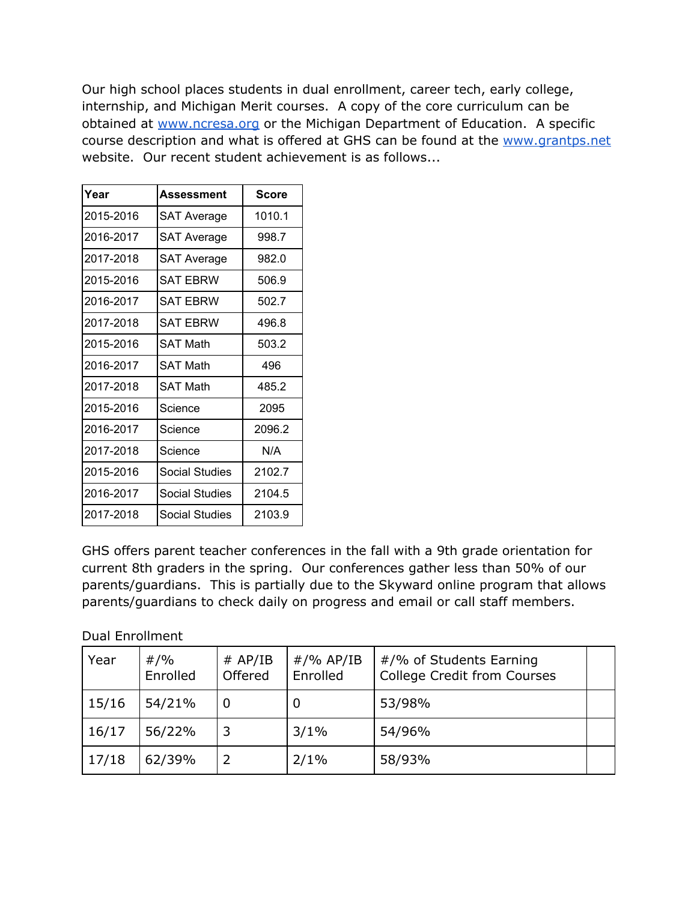Our high school places students in dual enrollment, career tech, early college, internship, and Michigan Merit courses. A copy of the core curriculum can be obtained at [www.ncresa.org](http://www.ncresa.org/) or the Michigan Department of Education. A specific course description and what is offered at GHS can be found at the [www.grantps.net](http://www.grantps.net/) website. Our recent student achievement is as follows...

| Year      | Assessment            | <b>Score</b> |  |
|-----------|-----------------------|--------------|--|
| 2015-2016 | <b>SAT Average</b>    | 1010.1       |  |
| 2016-2017 | <b>SAT Average</b>    | 998.7        |  |
| 2017-2018 | <b>SAT Average</b>    | 982.0        |  |
| 2015-2016 | SAT EBRW              | 506.9        |  |
| 2016-2017 | <b>SAT FBRW</b>       | 502.7        |  |
| 2017-2018 | SAT FBRW              | 496.8        |  |
| 2015-2016 | SAT Math              | 503.2        |  |
| 2016-2017 | <b>SAT Math</b>       | 496          |  |
| 2017-2018 | <b>SAT Math</b>       | 485.2        |  |
| 2015-2016 | Science               | 2095         |  |
| 2016-2017 | Science               | 2096.2       |  |
| 2017-2018 | Science               | N/A          |  |
| 2015-2016 | <b>Social Studies</b> | 2102.7       |  |
| 2016-2017 | Social Studies        | 2104.5       |  |
| 2017-2018 | Social Studies        | 2103.9       |  |

GHS offers parent teacher conferences in the fall with a 9th grade orientation for current 8th graders in the spring. Our conferences gather less than 50% of our parents/guardians. This is partially due to the Skyward online program that allows parents/guardians to check daily on progress and email or call staff members.

Dual Enrollment

| Year  | #/%<br>Enrolled | # AP/IB<br>Offered | $\#$ /% AP/IB<br>Enrolled | #/% of Students Earning<br><b>College Credit from Courses</b> |  |
|-------|-----------------|--------------------|---------------------------|---------------------------------------------------------------|--|
| 15/16 | 54/21%          | 0                  | Ü                         | 53/98%                                                        |  |
| 16/17 | 56/22%          | 3                  | 3/1%                      | 54/96%                                                        |  |
| 17/18 | 62/39%          |                    | 2/1%                      | 58/93%                                                        |  |